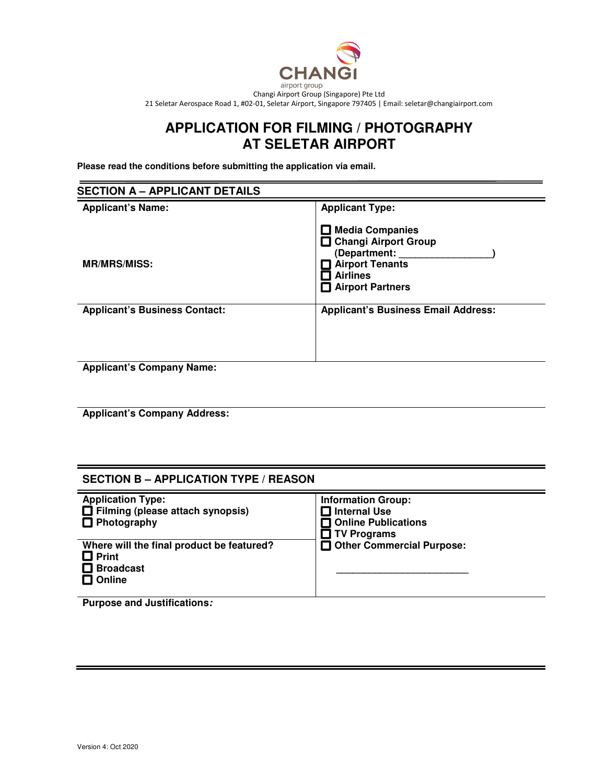

# **APPLICATION FOR FILMING / PHOTOGRAPHY AT SELETAR AIRPORT**

**Please read the conditions before submitting the application via email.** 

| <b>SECTION A - APPLICANT DETAILS</b>                        |                                                                                                                                   |  |
|-------------------------------------------------------------|-----------------------------------------------------------------------------------------------------------------------------------|--|
| <b>Applicant's Name:</b>                                    | <b>Applicant Type:</b>                                                                                                            |  |
| <b>MR/MRS/MISS:</b>                                         | <b>Media Companies</b><br>□ Changi Airport Group<br>(Department:<br><b>Airport Tenants</b><br><b>Airlines</b><br>Airport Partners |  |
| <b>Applicant's Business Contact:</b><br><br>. .<br>$\cdots$ | <b>Applicant's Business Email Address:</b>                                                                                        |  |

**Applicant's Company Name:** 

**Applicant's Company Address:** 

## **SECTION B – APPLICATION TYPE / REASON**

| <b>Application Type:</b><br>$\Box$ Filming (please attach synopsis)<br>$\Box$ Photography      | <b>Information Group:</b><br>Internal Use<br>□ Online Publications<br>$\Box$ TV Programs |
|------------------------------------------------------------------------------------------------|------------------------------------------------------------------------------------------|
| Where will the final product be featured?<br>$\Box$ Print<br>$\Box$ Broadcast<br>$\Box$ Online | Other Commercial Purpose:                                                                |

**Purpose and Justifications:**

Ι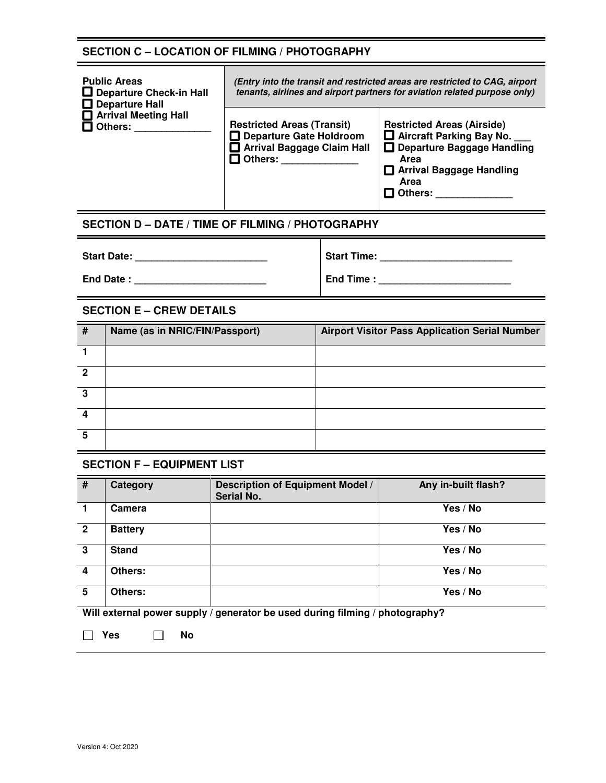# **SECTION C – LOCATION OF FILMING / PHOTOGRAPHY**

| <b>Public Areas</b><br>$\Box$ Departure Check-in Hall<br>$\Box$ Departure Hall | (Entry into the transit and restricted areas are restricted to CAG, airport<br>tenants, airlines and airport partners for aviation related purpose only) |                                                                                                                                                  |
|--------------------------------------------------------------------------------|----------------------------------------------------------------------------------------------------------------------------------------------------------|--------------------------------------------------------------------------------------------------------------------------------------------------|
| Arrival Meeting Hall<br>$\square$ Others:                                      | <b>Restricted Areas (Transit)</b><br>Departure Gate Holdroom<br>Arrival Baggage Claim Hall<br>コ Others:                                                  | <b>Restricted Areas (Airside)</b><br>$\Box$ Aircraft Parking Bay No.<br>Departure Baggage Handling<br>Area<br>□ Arrival Baggage Handling<br>Area |

 $\Box$  Others: \_\_\_\_\_\_\_\_\_\_\_\_\_\_\_

 $\overline{\phantom{a}}$ 

# **SECTION D – DATE / TIME OF FILMING / PHOTOGRAPHY**

| <b>Start Date:</b> | <b>Start Time:</b> |
|--------------------|--------------------|
| End Date:          | End Time:          |

# **SECTION E – CREW DETAILS**

| # | Name (as in NRIC/FIN/Passport) | <b>Airport Visitor Pass Application Serial Number</b> |
|---|--------------------------------|-------------------------------------------------------|
|   |                                |                                                       |
| 2 |                                |                                                       |
| 3 |                                |                                                       |
| Δ |                                |                                                       |
| 5 |                                |                                                       |

## **SECTION F – EQUIPMENT LIST**

| #                                                                            | Category       | <b>Description of Equipment Model /</b><br>Serial No. | Any in-built flash? |
|------------------------------------------------------------------------------|----------------|-------------------------------------------------------|---------------------|
| 1                                                                            | Camera         |                                                       | Yes / No            |
| $\overline{2}$                                                               | <b>Battery</b> |                                                       | Yes / No            |
| $\overline{3}$                                                               | <b>Stand</b>   |                                                       | Yes / No            |
| $\overline{\mathbf{4}}$                                                      | Others:        |                                                       | Yes / No            |
| 5                                                                            | Others:        |                                                       | Yes / No            |
| Will external power supply / generator be used during filming / photography? |                |                                                       |                     |

 **Yes No**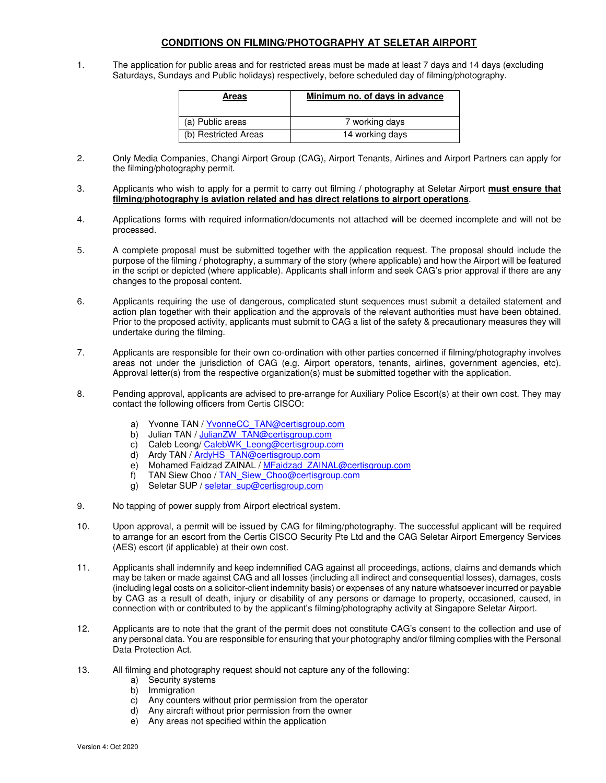## **CONDITIONS ON FILMING/PHOTOGRAPHY AT SELETAR AIRPORT**

1. The application for public areas and for restricted areas must be made at least 7 days and 14 days (excluding Saturdays, Sundays and Public holidays) respectively, before scheduled day of filming/photography.

| <b>Areas</b>         | Minimum no. of days in advance |
|----------------------|--------------------------------|
| (a) Public areas     | 7 working days                 |
| (b) Restricted Areas | 14 working days                |

- 2. Only Media Companies, Changi Airport Group (CAG), Airport Tenants, Airlines and Airport Partners can apply for the filming/photography permit.
- 3. Applicants who wish to apply for a permit to carry out filming / photography at Seletar Airport **must ensure that filming/photography is aviation related and has direct relations to airport operations**.
- 4. Applications forms with required information/documents not attached will be deemed incomplete and will not be processed.
- 5. A complete proposal must be submitted together with the application request. The proposal should include the purpose of the filming / photography, a summary of the story (where applicable) and how the Airport will be featured in the script or depicted (where applicable). Applicants shall inform and seek CAG's prior approval if there are any changes to the proposal content.
- 6. Applicants requiring the use of dangerous, complicated stunt sequences must submit a detailed statement and action plan together with their application and the approvals of the relevant authorities must have been obtained. Prior to the proposed activity, applicants must submit to CAG a list of the safety & precautionary measures they will undertake during the filming.
- 7. Applicants are responsible for their own co-ordination with other parties concerned if filming/photography involves areas not under the jurisdiction of CAG (e.g. Airport operators, tenants, airlines, government agencies, etc). Approval letter(s) from the respective organization(s) must be submitted together with the application.
- 8. Pending approval, applicants are advised to pre-arrange for Auxiliary Police Escort(s) at their own cost. They may contact the following officers from Certis CISCO:
	- a) Yvonne TAN / YvonneCC\_TAN@certisgroup.com<br>b) Julian TAN / JulianZW\_TAN@certisgroup.com
	- Julian TAN / JulianZW\_TAN@certisgroup.com
	- c) Caleb Leong/ CalebWK\_Leong@certisgroup.com
	- d) Ardy TAN / ArdyHS\_TAN@certisgroup.com
	- e) Mohamed Faidzad ZAINAL / MFaidzad\_ZAINAL@certisgroup.com
	- f) TAN Siew Choo / TAN\_Siew\_Choo@certisgroup.com
	- g) Seletar SUP / seletar\_sup@certisgroup.com
- 9. No tapping of power supply from Airport electrical system.
- 10. Upon approval, a permit will be issued by CAG for filming/photography. The successful applicant will be required to arrange for an escort from the Certis CISCO Security Pte Ltd and the CAG Seletar Airport Emergency Services (AES) escort (if applicable) at their own cost.
- 11. Applicants shall indemnify and keep indemnified CAG against all proceedings, actions, claims and demands which may be taken or made against CAG and all losses (including all indirect and consequential losses), damages, costs (including legal costs on a solicitor-client indemnity basis) or expenses of any nature whatsoever incurred or payable by CAG as a result of death, injury or disability of any persons or damage to property, occasioned, caused, in connection with or contributed to by the applicant's filming/photography activity at Singapore Seletar Airport.
- 12. Applicants are to note that the grant of the permit does not constitute CAG's consent to the collection and use of any personal data. You are responsible for ensuring that your photography and/or filming complies with the Personal Data Protection Act.
- 13. All filming and photography request should not capture any of the following:
	- a) Security systems
	- b) Immigration
	- c) Any counters without prior permission from the operator
	- d) Any aircraft without prior permission from the owner
	- e) Any areas not specified within the application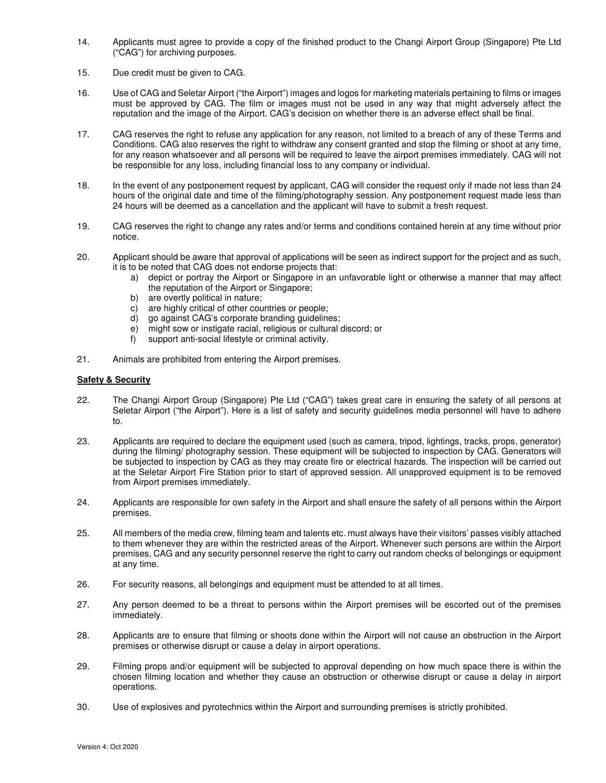- 14. Applicants must agree to provide a copy of the finished product to the Changi Airport Group (Singapore) Pte Ltd ("CAG") for archiving purposes.
- 15. Due credit must be given to CAG.
- 16. Use of CAG and Seletar Airport ("the Airport") images and logos for marketing materials pertaining to films or images must be approved by CAG. The film or images must not be used in any way that might adversely affect the reputation and the image of the Airport. CAG's decision on whether there is an adverse effect shall be final.
- 17. CAG reserves the right to refuse any application for any reason, not limited to a breach of any of these Terms and Conditions. CAG also reserves the right to withdraw any consent granted and stop the filming or shoot at any time, for any reason whatsoever and all persons will be required to leave the airport premises immediately. CAG will not be responsible for any loss, including financial loss to any company or individual.
- 18. In the event of any postponement request by applicant, CAG will consider the request only if made not less than 24 hours of the original date and time of the filming/photography session. Any postponement request made less than 24 hours will be deemed as a cancellation and the applicant will have to submit a fresh request.
- 19. CAG reserves the right to change any rates and/or terms and conditions contained herein at any time without prior notice.
- 20. Applicant should be aware that approval of applications will be seen as indirect support for the project and as such, it is to be noted that CAG does not endorse projects that:
	- a) depict or portray the Airport or Singapore in an unfavorable light or otherwise a manner that may affect the reputation of the Airport or Singapore;
	- b) are overtly political in nature;
	- c) are highly critical of other countries or people;
	- d) go against CAG's corporate branding guidelines;
	- e) might sow or instigate racial, religious or cultural discord; or
	- f) support anti-social lifestyle or criminal activity.
- 21. Animals are prohibited from entering the Airport premises.

### **Safety & Security**

- 22. The Changi Airport Group (Singapore) Pte Ltd ("CAG") takes great care in ensuring the safety of all persons at Seletar Airport ("the Airport"). Here is a list of safety and security guidelines media personnel will have to adhere to.
- 23. Applicants are required to declare the equipment used (such as camera, tripod, lightings, tracks, props, generator) during the filming/ photography session. These equipment will be subjected to inspection by CAG. Generators will be subjected to inspection by CAG as they may create fire or electrical hazards. The inspection will be carried out at the Seletar Airport Fire Station prior to start of approved session. All unapproved equipment is to be removed from Airport premises immediately.
- 24. Applicants are responsible for own safety in the Airport and shall ensure the safety of all persons within the Airport premises.
- 25. All members of the media crew, filming team and talents etc. must always have their visitors' passes visibly attached to them whenever they are within the restricted areas of the Airport. Whenever such persons are within the Airport premises, CAG and any security personnel reserve the right to carry out random checks of belongings or equipment at any time.
- 26. For security reasons, all belongings and equipment must be attended to at all times.
- 27. Any person deemed to be a threat to persons within the Airport premises will be escorted out of the premises immediately.
- 28. Applicants are to ensure that filming or shoots done within the Airport will not cause an obstruction in the Airport premises or otherwise disrupt or cause a delay in airport operations.
- 29. Filming props and/or equipment will be subjected to approval depending on how much space there is within the chosen filming location and whether they cause an obstruction or otherwise disrupt or cause a delay in airport operations.
- 30. Use of explosives and pyrotechnics within the Airport and surrounding premises is strictly prohibited.